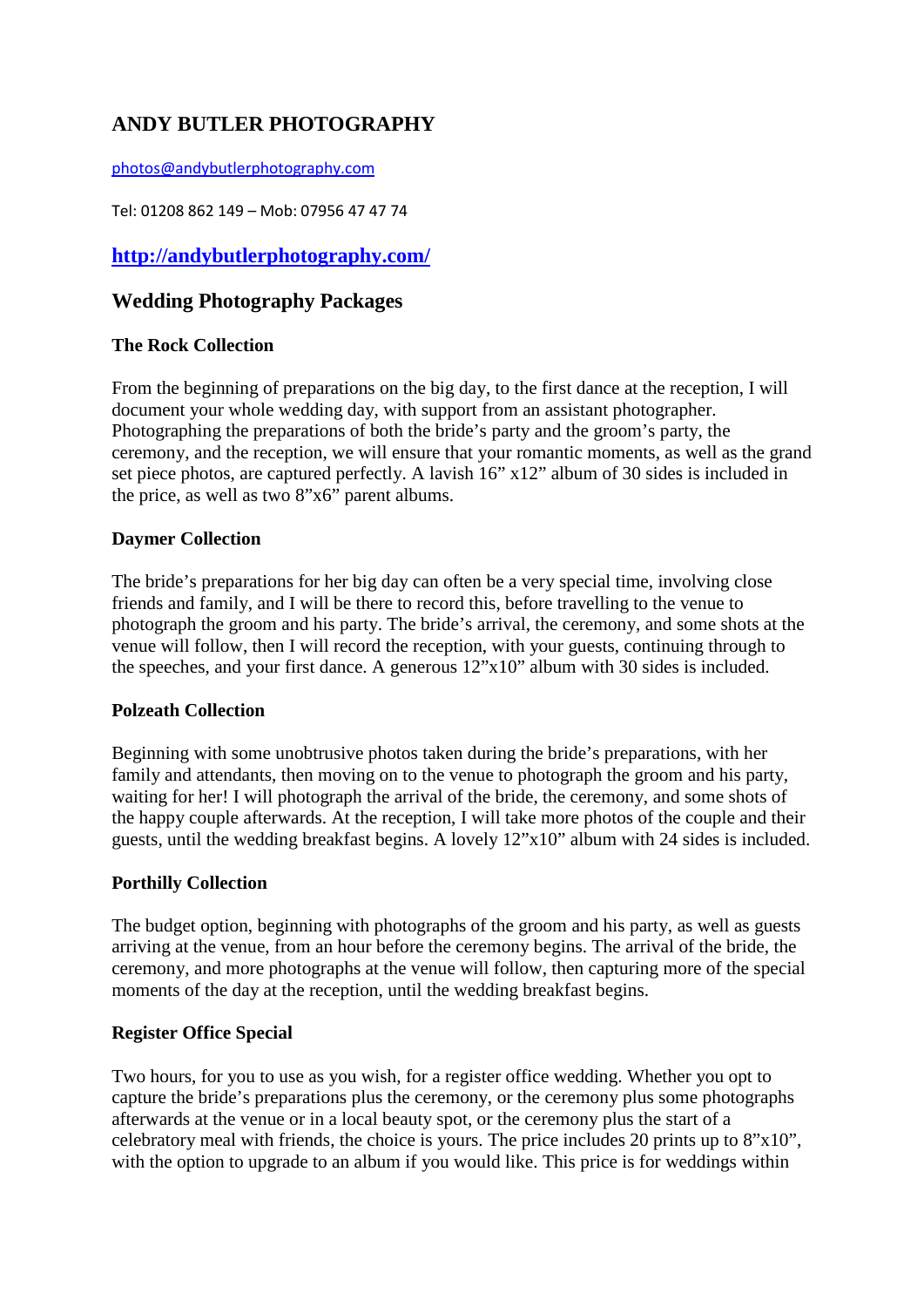# **ANDY BUTLER PHOTOGRAPHY**

[photos@andybutlerphotography.com](mailto:photos@andybutlerphotography.com)

Tel: 01208 862 149 – Mob: 07956 47 47 74

**<http://andybutlerphotography.com/>**

# **Wedding Photography Packages**

# **The Rock Collection**

From the beginning of preparations on the big day, to the first dance at the reception, I will document your whole wedding day, with support from an assistant photographer. Photographing the preparations of both the bride's party and the groom's party, the ceremony, and the reception, we will ensure that your romantic moments, as well as the grand set piece photos, are captured perfectly. A lavish 16" x12" album of 30 sides is included in the price, as well as two 8"x6" parent albums.

## **Daymer Collection**

The bride's preparations for her big day can often be a very special time, involving close friends and family, and I will be there to record this, before travelling to the venue to photograph the groom and his party. The bride's arrival, the ceremony, and some shots at the venue will follow, then I will record the reception, with your guests, continuing through to the speeches, and your first dance. A generous 12"x10" album with 30 sides is included.

#### **Polzeath Collection**

Beginning with some unobtrusive photos taken during the bride's preparations, with her family and attendants, then moving on to the venue to photograph the groom and his party, waiting for her! I will photograph the arrival of the bride, the ceremony, and some shots of the happy couple afterwards. At the reception, I will take more photos of the couple and their guests, until the wedding breakfast begins. A lovely 12"x10" album with 24 sides is included.

#### **Porthilly Collection**

The budget option, beginning with photographs of the groom and his party, as well as guests arriving at the venue, from an hour before the ceremony begins. The arrival of the bride, the ceremony, and more photographs at the venue will follow, then capturing more of the special moments of the day at the reception, until the wedding breakfast begins.

# **Register Office Special**

Two hours, for you to use as you wish, for a register office wedding. Whether you opt to capture the bride's preparations plus the ceremony, or the ceremony plus some photographs afterwards at the venue or in a local beauty spot, or the ceremony plus the start of a celebratory meal with friends, the choice is yours. The price includes 20 prints up to 8"x10", with the option to upgrade to an album if you would like. This price is for weddings within